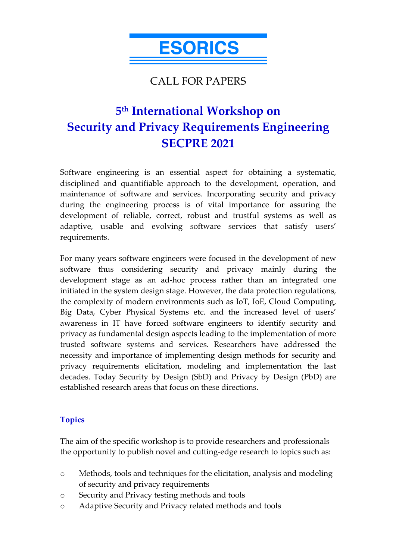

# CALL FOR PAPERS

# **5th International Workshop on Security and Privacy Requirements Engineering SECPRE 2021**

Software engineering is an essential aspect for obtaining a systematic, disciplined and quantifiable approach to the development, operation, and maintenance of software and services. Incorporating security and privacy during the engineering process is of vital importance for assuring the development of reliable, correct, robust and trustful systems as well as adaptive, usable and evolving software services that satisfy users' requirements.

For many years software engineers were focused in the development of new software thus considering security and privacy mainly during the development stage as an ad-hoc process rather than an integrated one initiated in the system design stage. However, the data protection regulations, the complexity of modern environments such as IoT, IoE, Cloud Computing, Big Data, Cyber Physical Systems etc. and the increased level of users' awareness in IT have forced software engineers to identify security and privacy as fundamental design aspects leading to the implementation of more trusted software systems and services. Researchers have addressed the necessity and importance of implementing design methods for security and privacy requirements elicitation, modeling and implementation the last decades. Today Security by Design (SbD) and Privacy by Design (PbD) are established research areas that focus on these directions.

#### **Topics**

The aim of the specific workshop is to provide researchers and professionals the opportunity to publish novel and cutting-edge research to topics such as:

- o Methods, tools and techniques for the elicitation, analysis and modeling of security and privacy requirements
- o Security and Privacy testing methods and tools
- o Adaptive Security and Privacy related methods and tools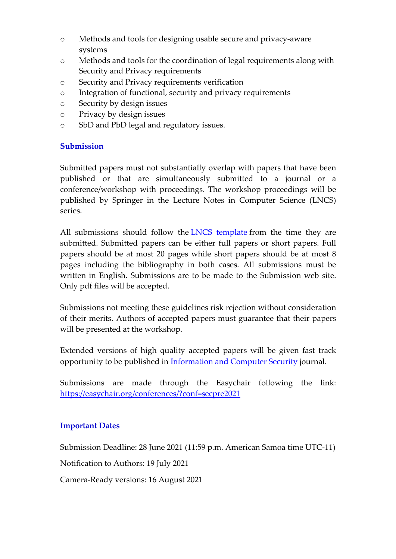- o Methods and tools for designing usable secure and privacy-aware systems
- o Methods and tools for the coordination of legal requirements along with Security and Privacy requirements
- o Security and Privacy requirements verification
- o Integration of functional, security and privacy requirements
- o Security by design issues
- o Privacy by design issues
- o SbD and PbD legal and regulatory issues.

# **Submission**

Submitted papers must not substantially overlap with papers that have been published or that are simultaneously submitted to a journal or a conference/workshop with proceedings. The workshop proceedings will be published by Springer in the Lecture Notes in Computer Science (LNCS) series.

All submissions should follow the LNCS template from the time they are submitted. Submitted papers can be either full papers or short papers. Full papers should be at most 20 pages while short papers should be at most 8 pages including the bibliography in both cases. All submissions must be written in English. Submissions are to be made to the Submission web site. Only pdf files will be accepted.

Submissions not meeting these guidelines risk rejection without consideration of their merits. Authors of accepted papers must guarantee that their papers will be presented at the workshop.

Extended versions of high quality accepted papers will be given fast track opportunity to be published in Information and Computer Security journal.

Submissions are made through the Easychair following the link: https://easychair.org/conferences/?conf=secpre2021

# **Important Dates**

Submission Deadline: 28 June 2021 (11:59 p.m. American Samoa time UTC-11)

Notification to Authors: 19 July 2021

Camera-Ready versions: 16 August 2021